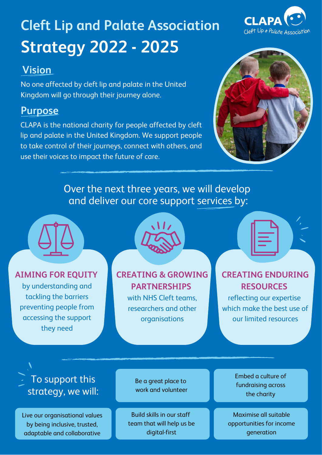# **Strategy 2022 - 2025 Cleft Lip and Palate Association**

#### **Vision**

No one affected by cleft lip and palate in the United Kingdom will go through their journey alone.

#### **Purpose**

CLAPA is the national charity for people affected by cleft lip and palate in the United Kingdom. We support people to take control of their journeys, connect with others, and use their voices to impact the future of care.



Over the next three years, we will develop and deliver our core support services by:



#### **AIMING FOR EQUITY**

by understanding and tackling the barriers preventing people from accessing the support they need



**CREATING & GROWING PARTNERSHIPS**

> with NHS Cleft teams, researchers and other organisations

#### **CREATING ENDURING RESOURCES**

reflecting our expertise which make the best use of our limited resources

To support this strategy, we will:

Live our organisational values by being inclusive, trusted, adaptable and collaborative

Be a great place to work and volunteer

Build skills in our staff team that will help us be digital-first

Embed a culture of fundraising across the charity

Maximise all suitable opportunities for income generation